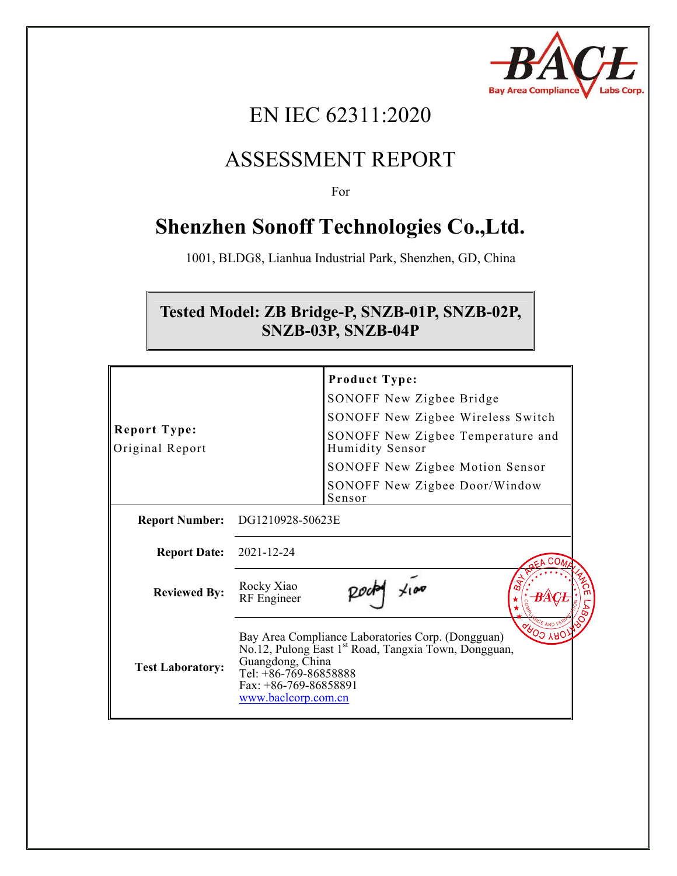

# EN IEC 62311:2020

## ASSESSMENT REPORT

For

# **Shenzhen Sonoff Technologies Co.,Ltd.**

1001, BLDG8, Lianhua Industrial Park, Shenzhen, GD, China

### **Tested Model: ZB Bridge-P, SNZB-01P, SNZB-02P, SNZB-03P, SNZB-04P**

| <b>Report Type:</b><br>Original Report | <b>Product Type:</b><br>SONOFF New Zigbee Bridge<br>SONOFF New Zigbee Wireless Switch<br>SONOFF New Zigbee Temperature and<br>Humidity Sensor<br>SONOFF New Zigbee Motion Sensor<br>SONOFF New Zigbee Door/Window<br>Sensor            |  |  |  |  |
|----------------------------------------|----------------------------------------------------------------------------------------------------------------------------------------------------------------------------------------------------------------------------------------|--|--|--|--|
| <b>Report Number:</b>                  | DG1210928-50623E                                                                                                                                                                                                                       |  |  |  |  |
| <b>Report Date:</b>                    | 2021-12-24                                                                                                                                                                                                                             |  |  |  |  |
| <b>Reviewed By:</b>                    | Rocky Xiao<br>RF Engineer                                                                                                                                                                                                              |  |  |  |  |
| <b>Test Laboratory:</b>                | <b>COO AND</b><br>Bay Area Compliance Laboratories Corp. (Dongguan)<br>No.12, Pulong East 1 <sup>st</sup> Road, Tangxia Town, Dongguan,<br>Guangdong, China<br>Tel: +86-769-86858888<br>Fax: $+86-769-86858891$<br>www.baclcorp.com.cn |  |  |  |  |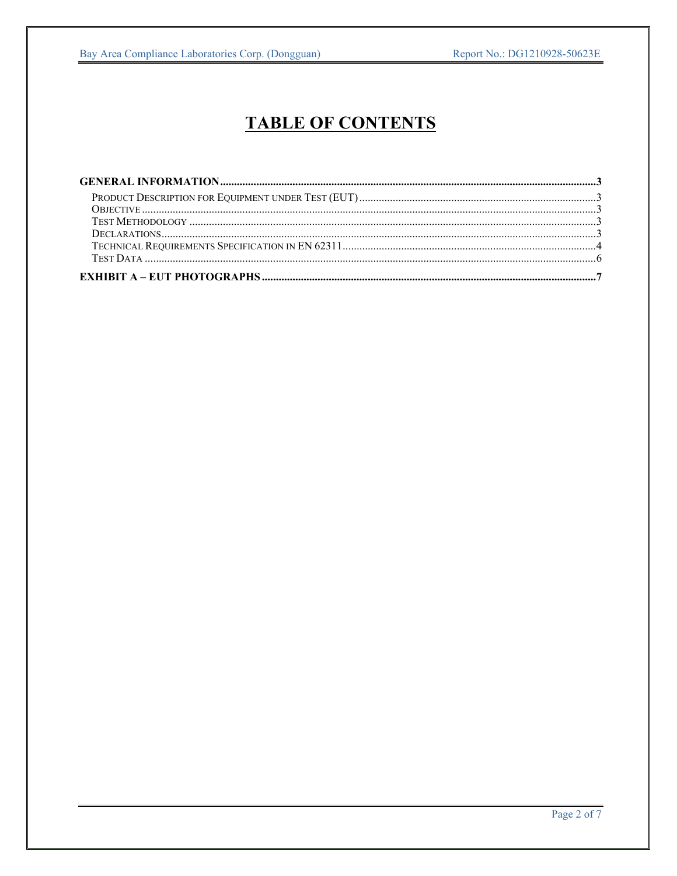Bay Area Compliance Laboratories Corp. (Dongguan)

### **TABLE OF CONTENTS**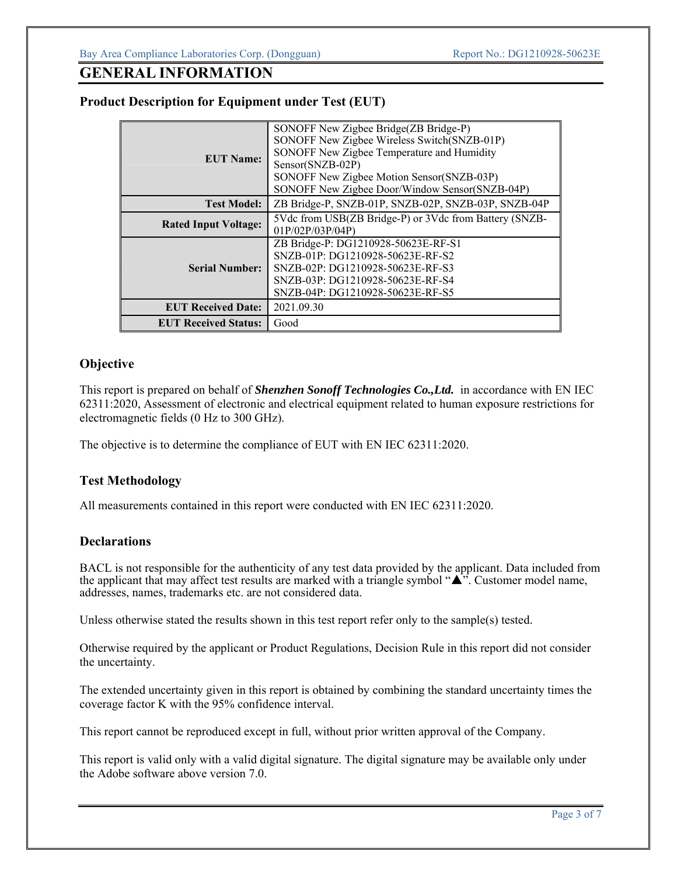Bay Area Compliance Laboratories Corp. (Dongguan) Report No.: DG1210928-50623E

#### **GENERAL INFORMATION**

#### **Product Description for Equipment under Test (EUT)**

| <b>EUT Name:</b>            | SONOFF New Zigbee Bridge(ZB Bridge-P)<br>SONOFF New Zigbee Wireless Switch(SNZB-01P)<br>SONOFF New Zigbee Temperature and Humidity<br>Sensor(SNZB-02P)<br>SONOFF New Zigbee Motion Sensor(SNZB-03P)<br>SONOFF New Zigbee Door/Window Sensor(SNZB-04P) |  |  |
|-----------------------------|-------------------------------------------------------------------------------------------------------------------------------------------------------------------------------------------------------------------------------------------------------|--|--|
|                             |                                                                                                                                                                                                                                                       |  |  |
| <b>Test Model:</b>          | ZB Bridge-P, SNZB-01P, SNZB-02P, SNZB-03P, SNZB-04P                                                                                                                                                                                                   |  |  |
| <b>Rated Input Voltage:</b> | 5Vdc from USB(ZB Bridge-P) or 3Vdc from Battery (SNZB-<br>01P/02P/03P/04P)                                                                                                                                                                            |  |  |
| <b>Serial Number:</b>       | ZB Bridge-P: DG1210928-50623E-RF-S1<br>SNZB-01P: DG1210928-50623E-RF-S2<br>SNZB-02P: DG1210928-50623E-RF-S3<br>SNZB-03P: DG1210928-50623E-RF-S4<br>SNZB-04P: DG1210928-50623E-RF-S5                                                                   |  |  |
| <b>EUT Received Date:</b>   | 2021.09.30                                                                                                                                                                                                                                            |  |  |
| <b>EUT Received Status:</b> | Good                                                                                                                                                                                                                                                  |  |  |

#### **Objective**

This report is prepared on behalf of *Shenzhen Sonoff Technologies Co.,Ltd.* in accordance with EN IEC 62311:2020, Assessment of electronic and electrical equipment related to human exposure restrictions for electromagnetic fields (0 Hz to 300 GHz).

The objective is to determine the compliance of EUT with EN IEC 62311:2020.

#### **Test Methodology**

All measurements contained in this report were conducted with EN IEC 62311:2020.

#### **Declarations**

BACL is not responsible for the authenticity of any test data provided by the applicant. Data included from the applicant that may affect test results are marked with a triangle symbol " $\triangle$ ". Customer model name, addresses, names, trademarks etc. are not considered data.

Unless otherwise stated the results shown in this test report refer only to the sample(s) tested.

Otherwise required by the applicant or Product Regulations, Decision Rule in this report did not consider the uncertainty.

The extended uncertainty given in this report is obtained by combining the standard uncertainty times the coverage factor K with the 95% confidence interval.

This report cannot be reproduced except in full, without prior written approval of the Company.

This report is valid only with a valid digital signature. The digital signature may be available only under the Adobe software above version 7.0.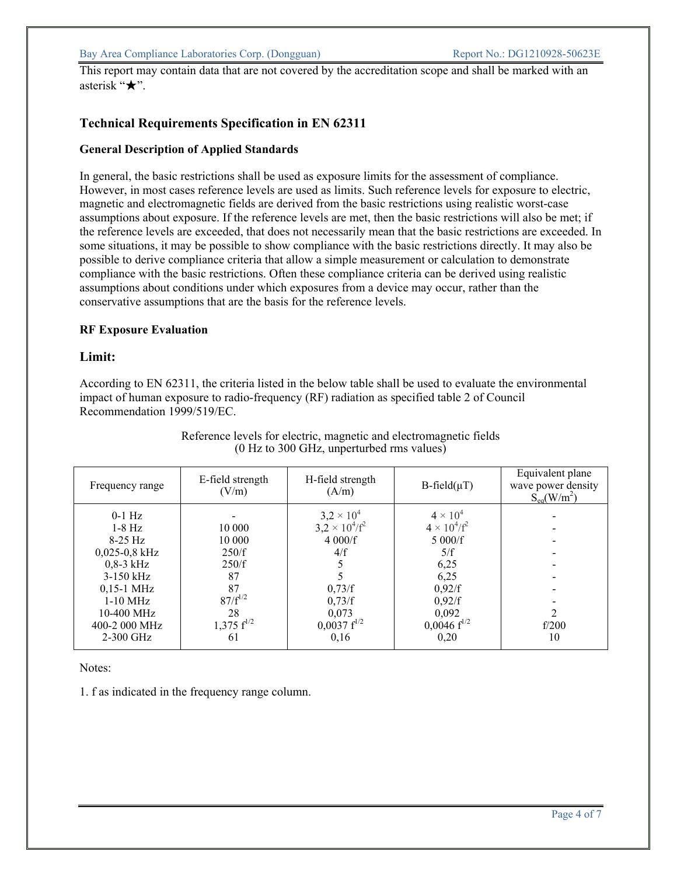This report may contain data that are not covered by the accreditation scope and shall be marked with an asterisk "★".

#### **Technical Requirements Specification in EN 62311**

#### **General Description of Applied Standards**

In general, the basic restrictions shall be used as exposure limits for the assessment of compliance. However, in most cases reference levels are used as limits. Such reference levels for exposure to electric, magnetic and electromagnetic fields are derived from the basic restrictions using realistic worst-case assumptions about exposure. If the reference levels are met, then the basic restrictions will also be met; if the reference levels are exceeded, that does not necessarily mean that the basic restrictions are exceeded. In some situations, it may be possible to show compliance with the basic restrictions directly. It may also be possible to derive compliance criteria that allow a simple measurement or calculation to demonstrate compliance with the basic restrictions. Often these compliance criteria can be derived using realistic assumptions about conditions under which exposures from a device may occur, rather than the conservative assumptions that are the basis for the reference levels.

#### **RF Exposure Evaluation**

#### **Limit:**

According to EN 62311, the criteria listed in the below table shall be used to evaluate the environmental impact of human exposure to radio-frequency (RF) radiation as specified table 2 of Council Recommendation 1999/519/EC.

| Frequency range      | E-field strength<br>(V/m) | H-field strength<br>(A/m)                    | $B-field(\mu T)$                           | Equivalent plane<br>wave power density<br>$S_{eq}(W/m^2)$ |  |
|----------------------|---------------------------|----------------------------------------------|--------------------------------------------|-----------------------------------------------------------|--|
| $0-1$ Hz<br>$1-8$ Hz | 10 000                    | $3,2 \times 10^{4}$<br>$3.2 \times 10^4/f^2$ | $4 \times 10^4$<br>$4 \times 10^{4}/f^{2}$ |                                                           |  |
| $8-25$ Hz            | 10 000                    | 4000/f                                       | 5 000/f                                    |                                                           |  |
| 0,025-0,8 kHz        | 250/f                     | 4/f                                          | 5/f                                        |                                                           |  |
| $0.8-3$ kHz          | 250/f                     |                                              | 6,25                                       |                                                           |  |
| $3-150$ kHz          | 87                        |                                              | 6,25                                       |                                                           |  |
| $0,15-1$ MHz         | 87                        | 0,73/f                                       | 0.92/f                                     |                                                           |  |
| $1-10$ MHz           | $87/f^{1/2}$              | 0,73/f                                       | 0.92/f                                     |                                                           |  |
| $10-400$ MHz         | 28                        | 0.073                                        | 0.092                                      |                                                           |  |
| 400-2 000 MHz        | 1,375 $f^{1/2}$           | $0,0037$ f <sup>1/2</sup>                    | $0,0046 f^{1/2}$                           | f/200                                                     |  |
| $2-300$ GHz          | 61                        | 0,16                                         | 0,20                                       | 10                                                        |  |

Reference levels for electric, magnetic and electromagnetic fields  $(0 \text{ Hz to } 300 \text{ GHz, unperturbed rms values})$ 

Notes:

1. f as indicated in the frequency range column.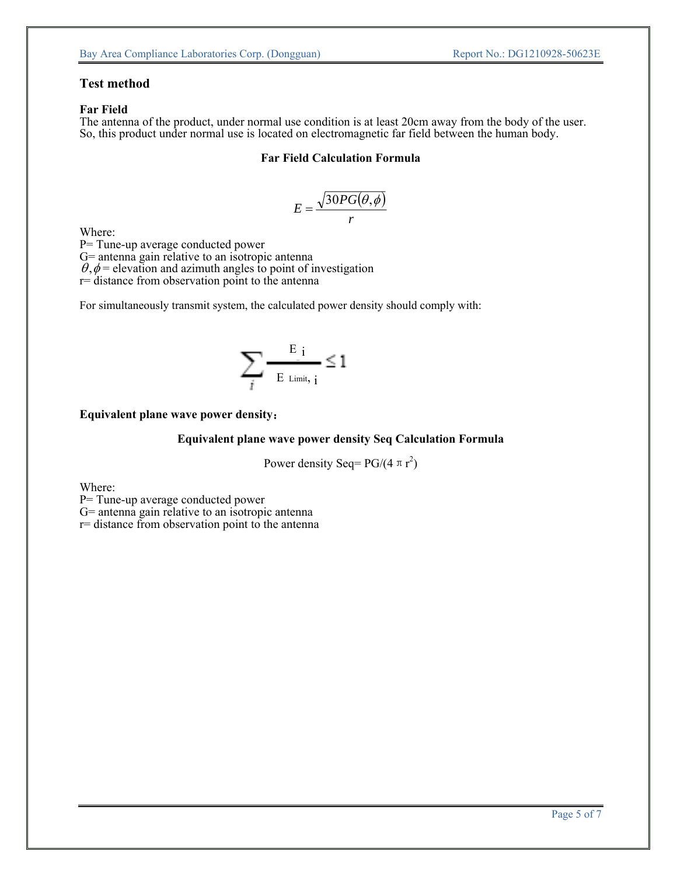#### **Test method**

#### **Far Field**

The antenna of the product, under normal use condition is at least 20cm away from the body of the user. So, this product under normal use is located on electromagnetic far field between the human body.

#### **Far Field Calculation Formula**

$$
E = \frac{\sqrt{30PG(\theta, \phi)}}{r}
$$

Where:

P= Tune-up average conducted power

G= antenna gain relative to an isotropic antenna

 $\theta$ ,  $\phi$  = elevation and azimuth angles to point of investigation

r= distance from observation point to the antenna

For simultaneously transmit system, the calculated power density should comply with:

$$
\sum_i \frac{E_i}{E_{\text{ Limit, i}}} \leq 1
$$

#### **Equivalent plane wave power density**:

#### **Equivalent plane wave power density Seq Calculation Formula**

Power density Seq=  $PG/(4 \pi r^2)$ 

Where:

P= Tune-up average conducted power

G= antenna gain relative to an isotropic antenna

r= distance from observation point to the antenna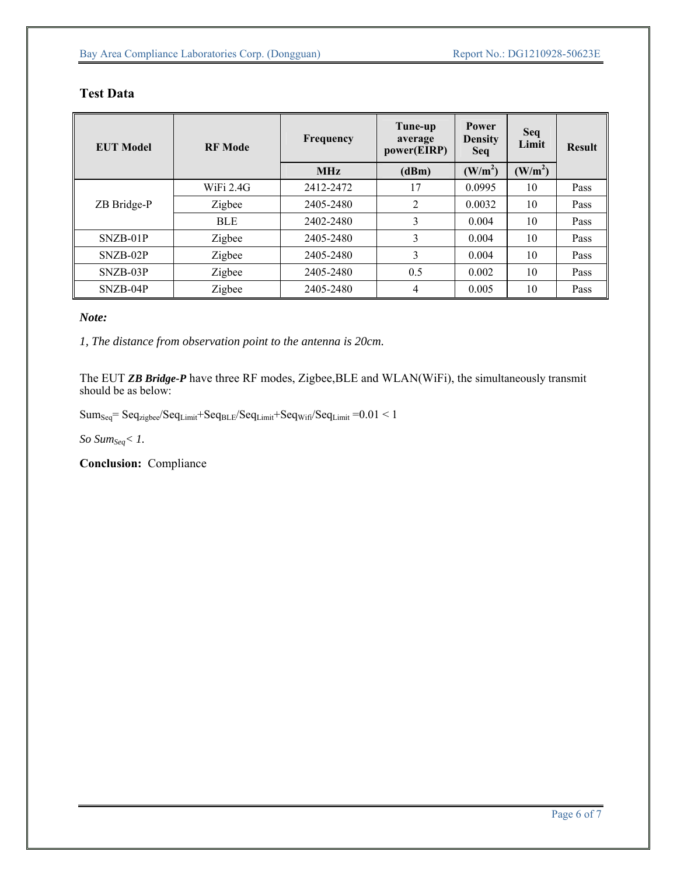### **Test Data**

| <b>EUT Model</b> | <b>RF</b> Mode | Frequency  | Tune-up<br>average<br>power(EIRP) | Power<br><b>Density</b><br><b>Seq</b> | Seq<br>Limit        | <b>Result</b> |
|------------------|----------------|------------|-----------------------------------|---------------------------------------|---------------------|---------------|
|                  |                | <b>MHz</b> | (dBm)                             | (W/m <sup>2</sup> )                   | (W/m <sup>2</sup> ) |               |
| ZB Bridge-P      | WiFi $2.4G$    | 2412-2472  | 17                                | 0.0995                                | 10                  | Pass          |
|                  | Zigbee         | 2405-2480  | 2                                 | 0.0032                                | 10                  | Pass          |
|                  | <b>BLE</b>     | 2402-2480  | 3                                 | 0.004                                 | 10                  | Pass          |
| SNZB-01P         | Zigbee         | 2405-2480  | 3                                 | 0.004                                 | 10                  | Pass          |
| SNZB-02P         | Zigbee         | 2405-2480  | 3                                 | 0.004                                 | 10                  | Pass          |
| SNZB-03P         | Zigbee         | 2405-2480  | 0.5                               | 0.002                                 | 10                  | Pass          |
| SNZB-04P         | Zigbee         | 2405-2480  | $\overline{4}$                    | 0.005                                 | 10                  | Pass          |

#### *Note:*

*1, The distance from observation point to the antenna is 20cm.* 

The EUT *ZB Bridge-P* have three RF modes, Zigbee,BLE and WLAN(WiFi), the simultaneously transmit should be as below:

 $\text{Sum}_{\text{Seq}}\text{=}\ \text{Seq}_{\text{Zigbee}}\text{/}\text{Seq}_{\text{Limit}}\text{+}\text{Seq}_{\text{BLE}}\text{/}\text{Seq}_{\text{Limit}}\text{+}\text{Seq}_{\text{Wif}}\text{/}\text{Seq}_{\text{Limit}}\text{=}0.01\leq 1$ 

*So SumSeq< 1.*

**Conclusion:** Compliance